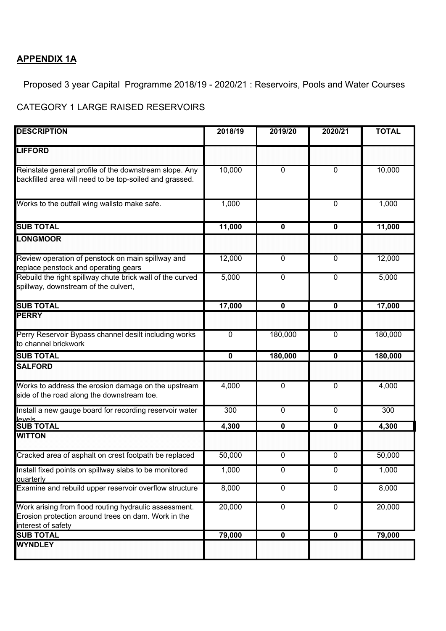### **APPENDIX 1A**

#### Proposed 3 year Capital Programme 2018/19 - 2020/21 : Reservoirs, Pools and Water Courses

### CATEGORY 1 LARGE RAISED RESERVOIRS

| <b>DESCRIPTION</b>                                                                                                                 | 2018/19                 | 2019/20        | 2020/21                 | <b>TOTAL</b> |
|------------------------------------------------------------------------------------------------------------------------------------|-------------------------|----------------|-------------------------|--------------|
| <b>LIFFORD</b>                                                                                                                     |                         |                |                         |              |
| Reinstate general profile of the downstream slope. Any<br>backfilled area will need to be top-soiled and grassed.                  | 10,000                  | 0              | $\overline{0}$          | 10,000       |
| Works to the outfall wing wallsto make safe.                                                                                       | 1,000                   |                | $\mathbf 0$             | 1,000        |
| <b>SUB TOTAL</b>                                                                                                                   | 11,000                  | $\mathbf 0$    | $\mathbf 0$             | 11,000       |
| <b>LONGMOOR</b>                                                                                                                    |                         |                |                         |              |
| Review operation of penstock on main spillway and<br>replace penstock and operating gears                                          | 12,000                  | $\overline{0}$ | $\mathbf 0$             | 12,000       |
| Rebuild the right spillway chute brick wall of the curved<br>spillway, downstream of the culvert,                                  | 5,000                   | $\overline{0}$ | $\overline{0}$          | 5,000        |
| <b>SUB TOTAL</b>                                                                                                                   | 17,000                  | $\mathbf 0$    | 0                       | 17,000       |
| <b>PERRY</b>                                                                                                                       |                         |                |                         |              |
| Perry Reservoir Bypass channel desilt including works<br>to channel brickwork                                                      | $\mathbf 0$             | 180,000        | $\mathbf 0$             | 180,000      |
| <b>SUB TOTAL</b>                                                                                                                   | $\overline{\mathbf{0}}$ | 180,000        | $\overline{\mathbf{0}}$ | 180,000      |
| <b>SALFORD</b>                                                                                                                     |                         |                |                         |              |
| Works to address the erosion damage on the upstream<br>side of the road along the downstream toe.                                  | 4,000                   | 0              | $\mathbf 0$             | 4,000        |
| Install a new gauge board for recording reservoir water<br>عامرها                                                                  | 300                     | 0              | $\overline{0}$          | 300          |
| <b>SUB TOTAL</b>                                                                                                                   | 4,300                   | 0              | $\pmb{0}$               | 4,300        |
| <b>WITTON</b>                                                                                                                      |                         |                |                         |              |
| Cracked area of asphalt on crest footpath be replaced                                                                              | 50,000                  | 0              | $\mathbf 0$             | 50,000       |
| Install fixed points on spillway slabs to be monitored<br>quarterly                                                                | 1,000                   | $\overline{0}$ | $\mathbf 0$             | 1,000        |
| Examine and rebuild upper reservoir overflow structure                                                                             | 8,000                   | $\overline{0}$ | $\overline{0}$          | 8,000        |
| Work arising from flood routing hydraulic assessment.<br>Erosion protection around trees on dam. Work in the<br>interest of safety | 20,000                  | 0              | $\pmb{0}$               | 20,000       |
| <b>SUB TOTAL</b>                                                                                                                   | 79,000                  | $\pmb{0}$      | $\mathbf 0$             | 79,000       |
| <b>WYNDLEY</b>                                                                                                                     |                         |                |                         |              |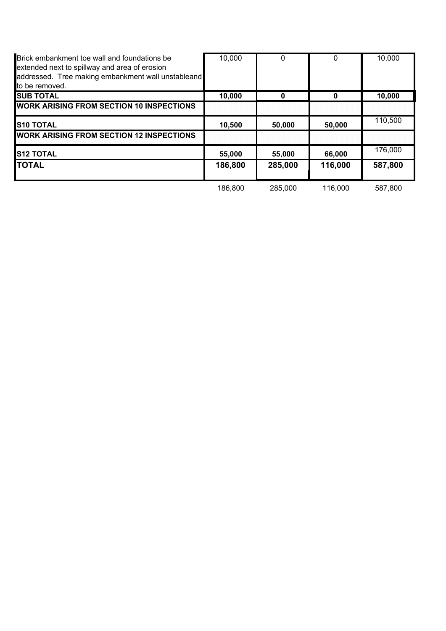| Brick embankment toe wall and foundations be<br>extended next to spillway and area of erosion<br>addressed. Tree making embankment wall unstableand<br>to be removed. | 10,000  | 0       |         | 10,000  |
|-----------------------------------------------------------------------------------------------------------------------------------------------------------------------|---------|---------|---------|---------|
| <b>SUB TOTAL</b>                                                                                                                                                      | 10,000  | 0       |         | 10,000  |
| <b>WORK ARISING FROM SECTION 10 INSPECTIONS</b>                                                                                                                       |         |         |         |         |
| <b>S10 TOTAL</b>                                                                                                                                                      | 10,500  | 50,000  | 50,000  | 110,500 |
| <b>WORK ARISING FROM SECTION 12 INSPECTIONS</b>                                                                                                                       |         |         |         |         |
| <b>S12 TOTAL</b>                                                                                                                                                      | 55,000  | 55,000  | 66,000  | 176,000 |
| <b>ITOTAL</b>                                                                                                                                                         | 186,800 | 285,000 | 116,000 | 587,800 |
|                                                                                                                                                                       | 186,800 | 285,000 | 116,000 | 587,800 |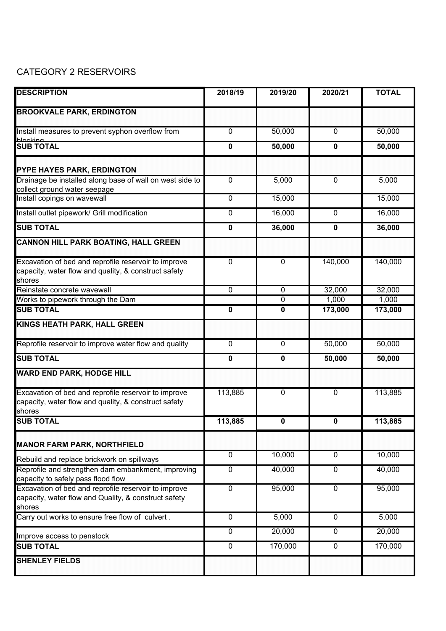## CATEGORY 2 RESERVOIRS

| <b>DESCRIPTION</b>                                                                                                     | 2018/19        | 2019/20        | 2020/21        | <b>TOTAL</b> |
|------------------------------------------------------------------------------------------------------------------------|----------------|----------------|----------------|--------------|
| <b>BROOKVALE PARK, ERDINGTON</b>                                                                                       |                |                |                |              |
| Install measures to prevent syphon overflow from                                                                       | 0              | 50,000         | $\mathbf 0$    | 50,000       |
| <b>blooking</b><br>SUB TOTAL                                                                                           | 0              | 50,000         | $\mathbf 0$    | 50,000       |
| PYPE HAYES PARK, ERDINGTON                                                                                             |                |                |                |              |
| Drainage be installed along base of wall on west side to<br>collect ground water seepage                               | $\pmb{0}$      | 5,000          | $\overline{0}$ | 5,000        |
| Install copings on wavewall                                                                                            | $\pmb{0}$      | 15,000         |                | 15,000       |
| Install outlet pipework/ Grill modification                                                                            | 0              | 16,000         | 0              | 16,000       |
| <b>SUB TOTAL</b>                                                                                                       | 0              | 36,000         | 0              | 36,000       |
| <b>CANNON HILL PARK BOATING, HALL GREEN</b>                                                                            |                |                |                |              |
| Excavation of bed and reprofile reservoir to improve<br>capacity, water flow and quality, & construct safety<br>shores | $\mathbf 0$    | $\overline{0}$ | 140,000        | 140,000      |
| Reinstate concrete wavewall                                                                                            | $\overline{0}$ | $\overline{0}$ | 32,000         | 32,000       |
| Works to pipework through the Dam                                                                                      |                | 0              | 1,000          | 1,000        |
| <b>SUB TOTAL</b>                                                                                                       | $\mathbf 0$    | $\mathbf 0$    | 173,000        | 173,000      |
| KINGS HEATH PARK, HALL GREEN                                                                                           |                |                |                |              |
| Reprofile reservoir to improve water flow and quality                                                                  | $\pmb{0}$      | $\mathbf 0$    | 50,000         | 50,000       |
| <b>SUB TOTAL</b>                                                                                                       | 0              | 0              | 50,000         | 50,000       |
| <b>WARD END PARK, HODGE HILL</b>                                                                                       |                |                |                |              |
| Excavation of bed and reprofile reservoir to improve<br>capacity, water flow and quality, & construct safety<br>shores | 113,885        | $\overline{0}$ | $\mathbf 0$    | 113,885      |
| <b>SUB TOTAL</b>                                                                                                       | 113,885        | n.             | n.             | 113,885      |
| <b>MANOR FARM PARK, NORTHFIELD</b>                                                                                     |                |                |                |              |
| Rebuild and replace brickwork on spillways                                                                             | $\mathbf 0$    | 10,000         | $\overline{0}$ | 10,000       |
| Reprofile and strengthen dam embankment, improving<br>capacity to safely pass flood flow                               | $\overline{0}$ | 40,000         | $\mathbf 0$    | 40,000       |
| Excavation of bed and reprofile reservoir to improve<br>capacity, water flow and Quality, & construct safety<br>shores | $\overline{0}$ | 95,000         | $\overline{0}$ | 95,000       |
| Carry out works to ensure free flow of culvert.                                                                        | $\overline{0}$ | 5,000          | $\overline{0}$ | 5,000        |
| Improve access to penstock                                                                                             | $\mathbf 0$    | 20,000         | $\mathbf 0$    | 20,000       |
| <b>SUB TOTAL</b>                                                                                                       | $\overline{0}$ | 170,000        | $\overline{0}$ | 170,000      |
| <b>SHENLEY FIELDS</b>                                                                                                  |                |                |                |              |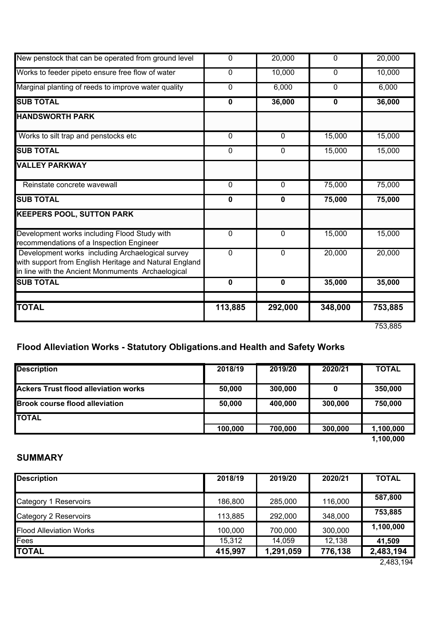| <b>KEEPERS POOL, SUTTON PARK</b>                    |             |              |             |        |
|-----------------------------------------------------|-------------|--------------|-------------|--------|
|                                                     |             |              |             |        |
| <b>SUB TOTAL</b>                                    | $\mathbf 0$ | $\pmb{0}$    | 75,000      | 75,000 |
| Reinstate concrete wavewall                         | $\mathbf 0$ | $\mathbf 0$  | 75,000      | 75,000 |
|                                                     |             |              |             |        |
| <b>VALLEY PARKWAY</b>                               |             |              |             |        |
|                                                     |             |              |             |        |
| <b>SUB TOTAL</b>                                    | 0           | 0            | 15,000      | 15,000 |
| Works to silt trap and penstocks etc                | $\mathbf 0$ | $\mathbf{0}$ | 15,000      | 15,000 |
|                                                     |             |              |             |        |
| <b>HANDSWORTH PARK</b>                              |             |              |             |        |
| <b>SUB TOTAL</b>                                    | 0           | 36,000       | $\mathbf 0$ | 36,000 |
| Marginal planting of reeds to improve water quality | 0           | 6,000        | 0           | 6,000  |
|                                                     |             |              |             |        |
| Works to feeder pipeto ensure free flow of water    | 0           | 10,000       | $\mathbf 0$ | 10,000 |
| New penstock that can be operated from ground level | 0           | 20,000       | 0           | 20,000 |

# **Flood Alleviation Works - Statutory Obligations.and Health and Safety Works**

| <b>Description</b>                          | 2018/19 | 2019/20 | 2020/21 | <b>TOTAL</b> |
|---------------------------------------------|---------|---------|---------|--------------|
| <b>Ackers Trust flood alleviation works</b> | 50,000  | 300,000 |         | 350,000      |
| <b>Brook course flood alleviation</b>       | 50,000  | 400,000 | 300,000 | 750,000      |
| <b>TOTAL</b>                                |         |         |         |              |
|                                             | 100,000 | 700,000 | 300,000 | 1,100,000    |

**1,100,000**

### **SUMMARY**

| <b>Description</b>             | 2018/19 | 2019/20   | 2020/21 | <b>TOTAL</b>            |
|--------------------------------|---------|-----------|---------|-------------------------|
| Category 1 Reservoirs          | 186,800 | 285,000   | 116,000 | 587,800                 |
| Category 2 Reservoirs          | 113,885 | 292,000   | 348,000 | 753,885                 |
| <b>Flood Alleviation Works</b> | 100.000 | 700,000   | 300,000 | 1,100,000               |
| Fees                           | 15,312  | 14,059    | 12,138  | 41,509                  |
| <b>TOTAL</b>                   | 415,997 | 1,291,059 | 776,138 | 2,483,194<br>0.102, 101 |

2,483,194